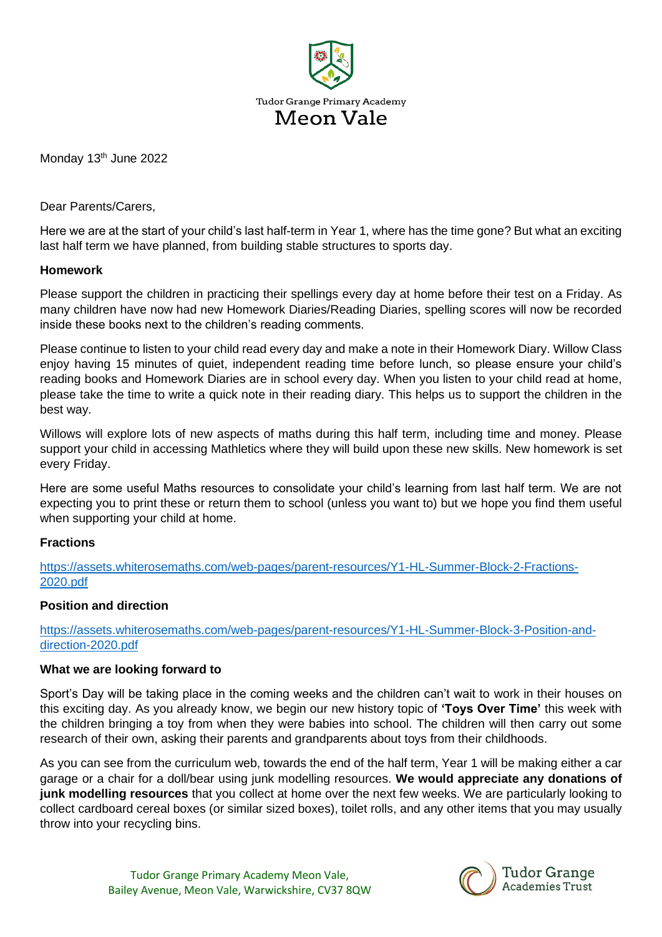

Monday 13<sup>th</sup> June 2022

Dear Parents/Carers,

Here we are at the start of your child's last half-term in Year 1, where has the time gone? But what an exciting last half term we have planned, from building stable structures to sports day.

## **Homework**

Please support the children in practicing their spellings every day at home before their test on a Friday. As many children have now had new Homework Diaries/Reading Diaries, spelling scores will now be recorded inside these books next to the children's reading comments.

Please continue to listen to your child read every day and make a note in their Homework Diary. Willow Class enjoy having 15 minutes of quiet, independent reading time before lunch, so please ensure your child's reading books and Homework Diaries are in school every day. When you listen to your child read at home, please take the time to write a quick note in their reading diary. This helps us to support the children in the best way.

Willows will explore lots of new aspects of maths during this half term, including time and money. Please support your child in accessing Mathletics where they will build upon these new skills. New homework is set every Friday.

Here are some useful Maths resources to consolidate your child's learning from last half term. We are not expecting you to print these or return them to school (unless you want to) but we hope you find them useful when supporting your child at home.

## **Fractions**

[https://assets.whiterosemaths.com/web-pages/parent-resources/Y1-HL-Summer-Block-2-Fractions-](https://assets.whiterosemaths.com/web-pages/parent-resources/Y1-HL-Summer-Block-2-Fractions-2020.pdf)[2020.pdf](https://assets.whiterosemaths.com/web-pages/parent-resources/Y1-HL-Summer-Block-2-Fractions-2020.pdf)

## **Position and direction**

[https://assets.whiterosemaths.com/web-pages/parent-resources/Y1-HL-Summer-Block-3-Position-and](https://assets.whiterosemaths.com/web-pages/parent-resources/Y1-HL-Summer-Block-3-Position-and-direction-2020.pdf)[direction-2020.pdf](https://assets.whiterosemaths.com/web-pages/parent-resources/Y1-HL-Summer-Block-3-Position-and-direction-2020.pdf)

## **What we are looking forward to**

Sport's Day will be taking place in the coming weeks and the children can't wait to work in their houses on this exciting day. As you already know, we begin our new history topic of **'Toys Over Time'** this week with the children bringing a toy from when they were babies into school. The children will then carry out some research of their own, asking their parents and grandparents about toys from their childhoods.

As you can see from the curriculum web, towards the end of the half term, Year 1 will be making either a car garage or a chair for a doll/bear using junk modelling resources. **We would appreciate any donations of junk modelling resources** that you collect at home over the next few weeks. We are particularly looking to collect cardboard cereal boxes (or similar sized boxes), toilet rolls, and any other items that you may usually throw into your recycling bins.



**Tudor Grange Academies Trust**